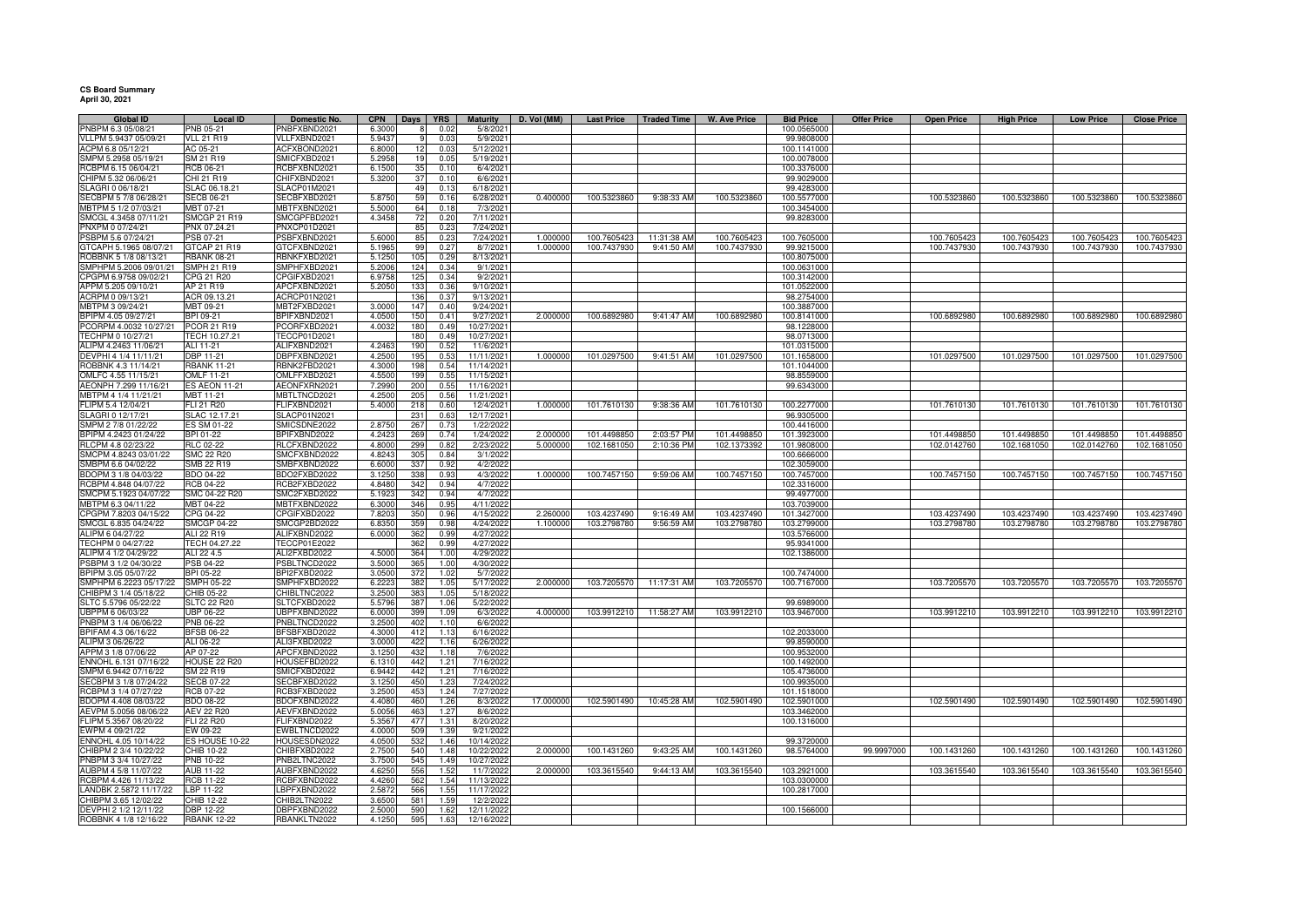## **CS Board Summary April 30, 2021**

| Global ID                               | <b>Local ID</b>                | Domestic No.                 | <b>CPN</b>       | Days       | <b>YRS</b> | Maturity               | D. Vol (MM) | <b>Last Price</b> | <b>Traded Time</b>      | W. Ave Price | <b>Bid Price</b> | <b>Offer Price</b> | <b>Open Price</b> | <b>High Price</b> | <b>Low Price</b> | <b>Close Price</b> |
|-----------------------------------------|--------------------------------|------------------------------|------------------|------------|------------|------------------------|-------------|-------------------|-------------------------|--------------|------------------|--------------------|-------------------|-------------------|------------------|--------------------|
| PNBPM 6.3 05/08/21                      | PNB 05-21                      | NBFXBND2021                  | 6.3000           |            | 0.02       | 5/8/2021               |             |                   |                         |              | 100.0565000      |                    |                   |                   |                  |                    |
| VLLPM 5.9437 05/09/21                   | <b>VLL 21 R19</b>              | VLLFXBND2021                 | 5.9437           |            | 0.03       | 5/9/2021               |             |                   |                         |              | 99.9808000       |                    |                   |                   |                  |                    |
| ACPM 6.8 05/12/21                       | AC 05-21                       | ACFXBOND2021                 | 6.8000           | 12         | 0.03       | 5/12/2021              |             |                   |                         |              | 100.1141000      |                    |                   |                   |                  |                    |
| SMPM 5.2958 05/19/21                    | SM 21 R19                      | SMICFXBD2021                 | 5.2958           | 19         | 0.05       | 5/19/2021              |             |                   |                         |              | 100.0078000      |                    |                   |                   |                  |                    |
| RCBPM 6.15 06/04/21                     | RCB 06-21                      | RCBFXBND2021                 | 6.1500           | 35         | 0.10       | 6/4/2021               |             |                   |                         |              | 100.3376000      |                    |                   |                   |                  |                    |
| CHIPM 5.32 06/06/21                     | CHI 21 R19                     | CHIFXBND2021                 | 5.3200           | 37         | 0.10       | 6/6/2021               |             |                   |                         |              | 99.9029000       |                    |                   |                   |                  |                    |
| SLAGRI 0 06/18/21                       | SLAC 06.18.21                  | SLACP01M2021                 |                  | 49         | 0.13       | 6/18/2021              |             |                   |                         |              | 99.4283000       |                    |                   |                   |                  |                    |
| SECBPM 5 7/8 06/28/21                   | <b>SECB 06-21</b>              | SECBFXBD2021                 | 5.8750           | 59         | 0.16       | 6/28/2021              | 0.400000    | 100.5323860       | 9:38:33 AM              | 100.5323860  | 100.5577000      |                    | 100.5323860       | 100.5323860       | 100.5323860      | 100.5323860        |
| MBTPM 5 1/2 07/03/21                    | MBT 07-21                      | MBTFXBND2021                 | 5.5000           | 64         | 0.18       | 7/3/2021               |             |                   |                         |              | 100.3454000      |                    |                   |                   |                  |                    |
| SMCGL 4.3458 07/11/21                   | <b>SMCGP 21 R19</b>            | SMCGPFBD2021                 | 4.3458           | 72         | 0.20       | 7/11/2021              |             |                   |                         |              | 99.8283000       |                    |                   |                   |                  |                    |
| PNXPM 0 07/24/21                        | PNX 07.24.21                   | PNXCP01D2021                 |                  | 85         | 0.23       | 7/24/2021              |             |                   |                         |              |                  |                    |                   |                   |                  |                    |
| PSBPM 5.6 07/24/21                      | PSB 07-21                      | PSBFXBND2021                 | 5.600            | 85         | 0.23       | 7/24/2021              | 1.000000    | 100.7605423       | 11:31:38 AM             | 100.7605423  | 100.7605000      |                    | 100.7605423       | 100.7605423       | 100.7605423      | 100.7605423        |
| GTCAPH 5.1965 08/07/21                  | GTCAP 21 R19                   | GTCFXBND2021                 | 5.1965           | 99         | 0.27       | 8/7/2021               | 1.000000    | 100.7437930       | 9:41:50 AM              | 100.7437930  | 99.9215000       |                    | 100.7437930       | 100.7437930       | 100.7437930      | 100.7437930        |
| ROBBNK 5 1/8 08/13/21                   | <b>RBANK 08-21</b>             | RBNKFXBD2021                 | 5.1250           | 105        | 0.29       | 8/13/2021              |             |                   |                         |              | 100.8075000      |                    |                   |                   |                  |                    |
| SMPHPM 5.2006 09/01/21                  | <b>SMPH 21 R19</b>             | SMPHFXBD2021                 | 5.200            | 124        | 0.34       | 9/1/2021               |             |                   |                         |              | 100.0631000      |                    |                   |                   |                  |                    |
| CPGPM 6.9758 09/02/21                   | CPG 21 R20                     | PGIFXBD2021                  | 6.975            | 125        | 0.34       | 9/2/2021               |             |                   |                         |              | 100.3142000      |                    |                   |                   |                  |                    |
| APPM 5.205 09/10/21                     | AP 21 R19                      | APCFXBND2021                 | 5.2050           | 133        | 0.36       | 9/10/202               |             |                   |                         |              | 101.0522000      |                    |                   |                   |                  |                    |
|                                         |                                |                              |                  | 136        |            | 9/13/2021              |             |                   |                         |              |                  |                    |                   |                   |                  |                    |
| ACRPM 0 09/13/21                        | ACR 09.13.21                   | ACRCP01N2021                 |                  |            | 0.37       |                        |             |                   |                         |              | 98.2754000       |                    |                   |                   |                  |                    |
| MBTPM 3 09/24/21                        | MBT 09-21                      | MBT2FXBD2021                 | 3.0000           | 147        | 0.40       | 9/24/2021              |             |                   |                         |              | 100.3887000      |                    |                   |                   |                  |                    |
| BPIPM 4.05 09/27/21                     | BPI 09-21                      | BPIFXBND2021                 | 4.0500           | 150        | 0.41       | 9/27/2021              | 2.000000    | 100.6892980       | 9:41:47 AM              | 100.6892980  | 100.8141000      |                    | 100.6892980       | 100.6892980       | 100.6892980      | 100.6892980        |
| PCORPM 4.0032 10/27/21                  | PCOR 21 R19                    | PCORFXBD2021                 | 4.0032           | 180        | 0.49       | 10/27/2021             |             |                   |                         |              | 98.1228000       |                    |                   |                   |                  |                    |
| TECHPM 0 10/27/21                       | TECH 10.27.21                  | TECCP01D2021                 |                  | 180        | 0.49       | 10/27/2021             |             |                   |                         |              | 98.0713000       |                    |                   |                   |                  |                    |
| ALIPM 4.2463 11/06/21                   | ALI 11-21                      | ALIFXBND2021                 | 4.246            | 190        | 0.52       | 11/6/2021              |             |                   |                         |              | 101.0315000      |                    |                   |                   |                  |                    |
| DEVPHI 4 1/4 11/11/21                   | DBP 11-21                      | DBPFXBND2021                 | 4.250            | 195        | 0.53       | 11/11/2021             | 1.000000    | 101.0297500       | 9:41:51 AM              | 101.0297500  | 101.1658000      |                    | 101.0297500       | 101.0297500       | 101.0297500      | 101.0297500        |
| ROBBNK 4.3 11/14/21                     | <b>RBANK 11-21</b>             | RBNK2FBD2021                 | 4.3000           | 198        | 0.54       | 11/14/2021             |             |                   |                         |              | 101.1044000      |                    |                   |                   |                  |                    |
| OMLFC 4.55 11/15/21                     | <b>OMLF 11-21</b>              | OMLFFXBD2021                 | 4.5500           | 199        | 0.55       | 11/15/2021             |             |                   |                         |              | 98.8559000       |                    |                   |                   |                  |                    |
| AEONPH 7.299 11/16/21                   | <b>ES AEON 11-21</b>           | AEONFXRN2021                 | 7.2990           | 200        | 0.55       | 11/16/2021             |             |                   |                         |              | 99.6343000       |                    |                   |                   |                  |                    |
| MBTPM 4 1/4 11/21/21                    | MBT 11-21                      | MBTLTNCD2021                 | 4.2500           | 205        | 0.56       | 11/21/2021             |             |                   |                         |              |                  |                    |                   |                   |                  |                    |
| FLIPM 5.4 12/04/21                      | FLI 21 R20                     | FLIFXBND2021                 | 5.4000           | 218        | 0.60       | 12/4/2021              | 1.000000    | 101.7610130       | 9:38:36 AM              | 101.7610130  | 100.2277000      |                    | 101.7610130       | 101.7610130       | 101.7610130      | 101.7610130        |
| SLAGRI 0 12/17/21                       | SLAC 12.17.21                  | <b>SLACP01N2021</b>          |                  | 231        | 0.63       | 12/17/2021             |             |                   |                         |              | 96.9305000       |                    |                   |                   |                  |                    |
| SMPM 2 7/8 01/22/22                     | ES SM 01-22                    | SMICSDNE2022                 | 2.875            | 267        | 0.73       | 1/22/2022              |             |                   |                         |              | 100.4416000      |                    |                   |                   |                  |                    |
| BPIPM 4.2423 01/24/22                   | BPI 01-22                      | BPIFXBND2022                 | 4.2423           | 269        | 0.74       | 1/24/2022              | 2.000000    | 101.4498850       | 2:03:57 PM              | 101.4498850  | 101.3923000      |                    | 101.4498850       | 101.4498850       | 101.4498850      | 101.4498850        |
|                                         |                                | RLCFXBND2022                 |                  |            | 0.82       | 2/23/2022              | 5.000000    |                   |                         | 102.1373392  |                  |                    | 102.0142760       | 102.1681050       | 102.0142760      | 102.1681050        |
| RLCPM 4.8 02/23/22                      | RLC 02-22                      |                              | 4.8000           | 299        |            |                        |             | 102.1681050       | 2:10:36 PM              |              | 101.9808000      |                    |                   |                   |                  |                    |
| SMCPM 4.8243 03/01/22                   | <b>SMC 22 R20</b>              | SMCFXBND2022                 | 4.824            | 305        | 0.84       | 3/1/2022               |             |                   |                         |              | 100.6666000      |                    |                   |                   |                  |                    |
| SMBPM 6.6 04/02/22                      | SMB 22 R19                     | SMBFXBND2022                 | 6.600            | 337        | 0.92       | 4/2/2022               |             |                   |                         |              | 102.3059000      |                    |                   |                   |                  |                    |
| BDOPM 3 1/8 04/03/22                    | <b>BDO 04-22</b>               | BDO2FXBD2022                 | 3.1250           | 335        | 0.93       | 4/3/2022               | 1.000000    | 100.7457150       | 9:59:06 AM              | 100.7457150  | 100.7457000      |                    | 100.7457150       | 100.7457150       | 100.7457150      | 100.7457150        |
| RCBPM 4.848 04/07/22                    | <b>RCB 04-22</b>               | RCB2FXBD2022                 | 4.8480           | 342        | 0.94       | 4/7/2022               |             |                   |                         |              | 102.3316000      |                    |                   |                   |                  |                    |
| SMCPM 5.1923 04/07/22                   | SMC 04-22 R20                  | SMC2FXBD2022                 | 5.192            | 342        | 0.94       | 4/7/2022               |             |                   |                         |              | 99.4977000       |                    |                   |                   |                  |                    |
| MBTPM 6.3 04/11/22                      | MBT 04-22                      | <b>MBTFXBND2022</b>          | 6.300            | 346        | 0.95       | 4/11/2022              |             |                   |                         |              | 103.7039000      |                    |                   |                   |                  |                    |
| CPGPM 7.8203 04/15/22                   | CPG 04-22                      | CPGIFXBD2022                 | 7.820            | 350        | 0.96       | 4/15/2022              | 2.260000    | 103.4237490       | 9:16:49 AM              | 103.4237490  | 101.3427000      |                    | 103.4237490       | 103.4237490       | 103.4237490      | 103.4237490        |
| SMCGL 6.835 04/24/22                    | <b>SMCGP 04-22</b>             | SMCGP2BD2022                 | 6.835            | 359        | 0.98       | 4/24/2022              | 1.100000    | 103.2798780       | 9:56:59 AM              | 103.2798780  | 103.2799000      |                    | 103.2798780       | 103.2798780       | 103.2798780      | 103.2798780        |
| ALIPM 6 04/27/22                        | ALI 22 R19                     | ALIFXBND2022                 | 6.0000           | 362        | 0.99       | 4/27/2022              |             |                   |                         |              | 103.5766000      |                    |                   |                   |                  |                    |
| TECHPM 0 04/27/22                       | TECH 04.27.22                  | <b>TECCP01E2022</b>          |                  | 362        | 0.99       | 4/27/2022              |             |                   |                         |              | 95.9341000       |                    |                   |                   |                  |                    |
| ALIPM 4 1/2 04/29/22                    | ALI 22 4.5                     | ALI2FXBD2022                 | 4.500            | 364        | 1.00       | 4/29/2022              |             |                   |                         |              | 102.1386000      |                    |                   |                   |                  |                    |
| PSBPM 3 1/2 04/30/22                    | PSB 04-22                      | PSBLTNCD2022                 | 3.500            | 365        | 1.00       | 4/30/2022              |             |                   |                         |              |                  |                    |                   |                   |                  |                    |
| BPIPM 3.05 05/07/22                     | BPI 05-22                      | BPI2FXBD2022                 | 3.050            | 372        | 1.02       | 5/7/2022               |             |                   |                         |              | 100.7474000      |                    |                   |                   |                  |                    |
| SMPHPM 6.2223 05/17/22                  | <b>SMPH 05-22</b>              | SMPHFXBD2022                 | 6.222            | 382        | 1.05       | 5/17/2022              | 2.00000     | 103.7205570       | 11:17:31 AM             | 103.7205570  | 100.7167000      |                    | 103.7205570       | 103.7205570       | 103.7205570      | 103.7205570        |
| CHIBPM 3 1/4 05/18/22                   | CHIB 05-22                     | CHIBLTNC2022                 | 3.250            | 383        | 1.05       | 5/18/2022              |             |                   |                         |              |                  |                    |                   |                   |                  |                    |
| SLTC 5.5796 05/22/22                    | <b>SLTC 22 R20</b>             | SLTCFXBD2022                 | 5.5796           | 387        | 1.06       | 5/22/2022              |             |                   |                         |              | 99.6989000       |                    |                   |                   |                  |                    |
| UBPPM 6 06/03/22                        | <b>UBP 06-22</b>               | UBPFXBND2022                 | 6.0000           | 399        | 1.09       | 6/3/2022               | 4.000000    |                   | 103.9912210 11:58:27 AM | 103.9912210  | 103.9467000      |                    | 103.9912210       | 103.9912210       | 103.9912210      | 103.9912210        |
| PNBPM 3 1/4 06/06/22                    | PNB 06-22                      | PNBLTNCD2022                 | 3.2500           | 402        | 1.10       | 6/6/202                |             |                   |                         |              |                  |                    |                   |                   |                  |                    |
|                                         |                                |                              |                  |            |            |                        |             |                   |                         |              | 102.2033000      |                    |                   |                   |                  |                    |
| BPIFAM 4.3 06/16/22<br>ALIPM 3 06/26/22 | <b>BFSB 06-22</b><br>ALI 06-22 | BFSBFXBD2022<br>ALI3FXBD2022 | 4.3000<br>3.0000 | 412<br>422 | 1.13       | 6/16/2022<br>6/26/2022 |             |                   |                         |              | 99.8590000       |                    |                   |                   |                  |                    |
|                                         |                                |                              |                  |            | 1.16       |                        |             |                   |                         |              |                  |                    |                   |                   |                  |                    |
| APPM 3 1/8 07/06/22                     | AP 07-22                       | APCFXBND2022                 | 3.1250           | 432        | 1.18       | 7/6/2022               |             |                   |                         |              | 100.9532000      |                    |                   |                   |                  |                    |
| ENNOHL 6.131 07/16/22                   | HOUSE 22 R20                   | HOUSEFBD2022                 | 6.131            | 442        | 1.21       | 7/16/2022              |             |                   |                         |              | 100.1492000      |                    |                   |                   |                  |                    |
| SMPM 6.9442 07/16/22                    | SM 22 R19                      | SMICFXBD2022                 | 6.9442           | 442        | 1.21       | 7/16/2022              |             |                   |                         |              | 105.4736000      |                    |                   |                   |                  |                    |
| SECBPM 3 1/8 07/24/22                   | <b>SECB 07-22</b>              | SECBFXBD2022                 | 3.1250           | 450        | 1.23       | 7/24/2022              |             |                   |                         |              | 100.9935000      |                    |                   |                   |                  |                    |
| RCBPM 3 1/4 07/27/22                    | <b>RCB 07-22</b>               | RCB3FXBD2022                 | 3.250            | 453        | 1.24       | 7/27/2022              |             |                   |                         |              | 101.1518000      |                    |                   |                   |                  |                    |
| BDOPM 4.408 08/03/22                    | <b>BDO 08-22</b>               | BDOFXBND2022                 | 4.4080           | 460        | 1.26       | 8/3/2022               | 17.000000   | 102.5901490       | 10:45:28 AM             | 102.5901490  | 102.5901000      |                    | 102.5901490       | 102.5901490       | 102.5901490      | 102.5901490        |
| AEVPM 5.0056 08/06/22                   | <b>AEV 22 R20</b>              | AEVFXBND2022                 | 5.005            | 463        | 1.27       | 8/6/2022               |             |                   |                         |              | 103.3462000      |                    |                   |                   |                  |                    |
| FLIPM 5.3567 08/20/22                   | FLI 22 R20                     | FLIFXBND2022                 | 5.3567           | 477        | 1.31       | 8/20/2022              |             |                   |                         |              | 100.1316000      |                    |                   |                   |                  |                    |
| EWPM 4 09/21/22                         | EW 09-22                       | EWBLTNCD2022                 | 4.0000           | 509        | 1.39       | 9/21/2022              |             |                   |                         |              |                  |                    |                   |                   |                  |                    |
| ENNOHL 4.05 10/14/22                    | <b>ES HOUSE 10-22</b>          | <b>IOUSESDN2022</b>          | 4.050            | 532        | 1.46       | 10/14/2022             |             |                   |                         |              | 99.3720000       |                    |                   |                   |                  |                    |
| CHIBPM 2 3/4 10/22/22                   | CHIB 10-22                     | CHIBFXBD2022                 | 2.750            | 540        | 1.48       | 10/22/2022             | 2.000000    | 100.1431260       | 9:43:25 AM              | 100.1431260  | 98.5764000       | 99.9997000         | 100.1431260       | 100.1431260       | 100.1431260      | 100.1431260        |
| PNBPM 3 3/4 10/27/22                    | <b>PNB 10-22</b>               | PNB2LTNC2022                 | 3.750            | 545        | 1.49       | 10/27/2022             |             |                   |                         |              |                  |                    |                   |                   |                  |                    |
| AUBPM 4 5/8 11/07/22                    | AUB 11-22                      | AUBFXBND2022                 | 4.625            | 556        | 1.52       | 11/7/2022              | 2.000000    | 103.3615540       | 9:44:13 AM              | 103.3615540  | 103.2921000      |                    | 103.3615540       | 103.3615540       | 103.3615540      | 103.3615540        |
| RCBPM 4.426 11/13/22                    | <b>RCB 11-22</b>               | RCBFXBND2022                 | 4.4260           | 562        | 1.54       | 11/13/2022             |             |                   |                         |              | 103.0300000      |                    |                   |                   |                  |                    |
| LANDBK 2.5872 11/17/22                  | LBP 11-22                      | LBPFXBND2022                 | 2.587            | 566        | 1.55       | 11/17/2022             |             |                   |                         |              | 100.2817000      |                    |                   |                   |                  |                    |
|                                         |                                |                              |                  |            | 1.59       |                        |             |                   |                         |              |                  |                    |                   |                   |                  |                    |
| CHIBPM 3.65 12/02/22                    | CHIB 12-22                     | CHIB2LTN2022                 | 3.650            | 581        |            | 12/2/2022              |             |                   |                         |              |                  |                    |                   |                   |                  |                    |
| DEVPHI 2 1/2 12/11/22                   | DBP 12-22                      | DBPFXBND2022                 | 2.500            | 590        | 1.62       | 12/11/2022             |             |                   |                         |              | 100.1566000      |                    |                   |                   |                  |                    |
| ROBBNK 4 1/8 12/16/22                   | <b>RBANK 12-22</b>             | RBANKLTN2022                 | 4.1250           | 595        | 1.63       | 12/16/2022             |             |                   |                         |              |                  |                    |                   |                   |                  |                    |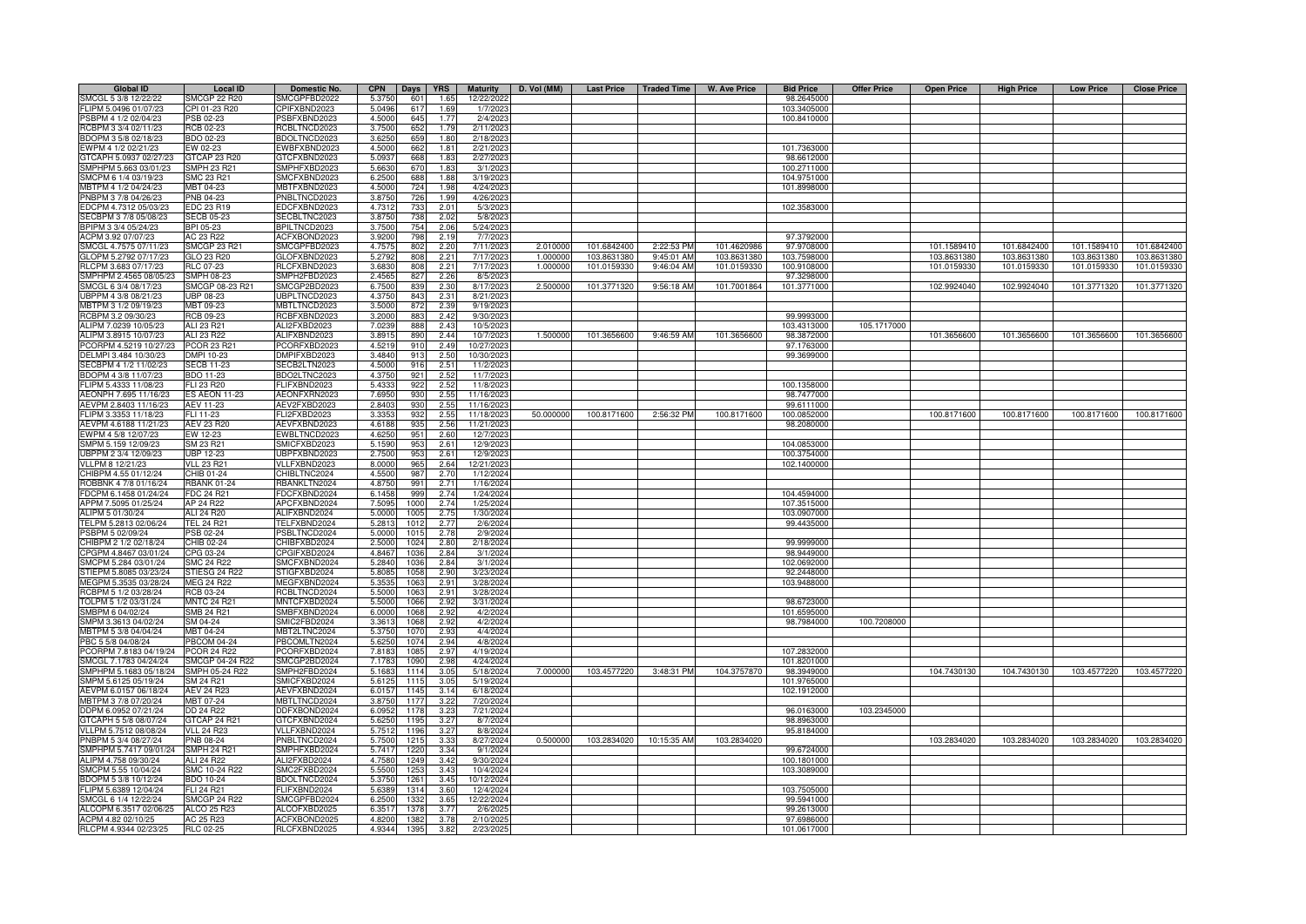| <b>Global ID</b>                               | <b>Local ID</b>                   | Domestic No.                 | <b>CPN</b><br>Days <b>YRS</b>                    | <b>Maturity</b>         | D. Vol (MM) | <b>Last Price</b> | <b>Traded Time</b> | <b>W. Ave Price</b> | <b>Bid Price</b>          | <b>Offer Price</b> | <b>Open Price</b> | <b>High Price</b> | <b>Low Price</b> | <b>Close Price</b> |
|------------------------------------------------|-----------------------------------|------------------------------|--------------------------------------------------|-------------------------|-------------|-------------------|--------------------|---------------------|---------------------------|--------------------|-------------------|-------------------|------------------|--------------------|
| SMCGL 5 3/8 12/22/22                           | <b>SMCGP 22 R20</b>               | SMCGPFBD2022                 | 5.3750<br>601<br>1.65                            | 12/22/2022              |             |                   |                    |                     | 98.2645000                |                    |                   |                   |                  |                    |
| FLIPM 5.0496 01/07/23                          | CPI 01-23 R20                     | CPIFXBND2023                 | 5.0496<br>617<br>1.69                            | 1/7/2023                |             |                   |                    |                     | 103.3405000               |                    |                   |                   |                  |                    |
| PSBPM 4 1/2 02/04/23                           | PSB 02-23                         | SBFXBND2023                  | 4.5000<br>645<br>1.77                            | 2/4/2023                |             |                   |                    |                     | 100.8410000               |                    |                   |                   |                  |                    |
| RCBPM 3 3/4 02/11/23                           | RCB 02-23                         | RCBLTNCD2023                 | 3.7500<br>652<br>1.79                            | 2/11/2023               |             |                   |                    |                     |                           |                    |                   |                   |                  |                    |
| BDOPM 3 5/8 02/18/23                           | <b>BDO 02-23</b>                  | BDOLTNCD2023                 | 659<br>3.6250<br>1.80<br>1.81                    | 2/18/2023               |             |                   |                    |                     |                           |                    |                   |                   |                  |                    |
| EWPM 4 1/2 02/21/23<br>GTCAPH 5.0937 02/27/23  | EW 02-23<br>GTCAP 23 R20          | WBFXBND2023<br>GTCFXBND2023  | 4.5000<br>662<br>5.0937<br>668<br>1.83           | 2/21/2023<br>2/27/2023  |             |                   |                    |                     | 101.7363000<br>98.6612000 |                    |                   |                   |                  |                    |
| SMPHPM 5.663 03/01/23                          | SMPH 23 R21                       | SMPHFXBD2023                 | 5.6630<br>670<br>1.83                            | 3/1/202                 |             |                   |                    |                     | 100.2711000               |                    |                   |                   |                  |                    |
| SMCPM 6 1/4 03/19/23                           | SMC 23 R21                        | SMCFXBND2023                 | 6.2500<br>688<br>1.88                            | 3/19/202                |             |                   |                    |                     | 104.9751000               |                    |                   |                   |                  |                    |
| MBTPM 4 1/2 04/24/23                           | MBT 04-23                         | <b>MBTFXBND2023</b>          | 4.5000<br>724<br>1.98                            | 4/24/2023               |             |                   |                    |                     | 101.8998000               |                    |                   |                   |                  |                    |
| PNBPM 3 7/8 04/26/23                           | PNB 04-23                         | PNBLTNCD2023                 | 3.8750<br>726<br>1.99                            | 4/26/2023               |             |                   |                    |                     |                           |                    |                   |                   |                  |                    |
| EDCPM 4.7312 05/03/23                          | EDC 23 R19                        | EDCFXBND2023                 | 4.7312<br>733<br>2.01                            | 5/3/202                 |             |                   |                    |                     | 102.3583000               |                    |                   |                   |                  |                    |
| SECBPM 3 7/8 05/08/23                          | ECB 05-23                         | ECBLTNC2023                  | 3.8750<br>738<br>2.02                            | 5/8/202                 |             |                   |                    |                     |                           |                    |                   |                   |                  |                    |
| BPIPM 3 3/4 05/24/23                           | BPI 05-23                         | PILTNCD2023                  | 3.7500<br>754<br>2.06                            | 5/24/202                |             |                   |                    |                     |                           |                    |                   |                   |                  |                    |
| ACPM 3.92 07/07/23                             | AC 23 R22                         | ACFXBOND2023                 | 3.9200<br>798<br>2.19                            | 7/7/2023                |             |                   |                    |                     | 97.3792000                |                    |                   |                   |                  |                    |
| SMCGL 4.7575 07/11/23                          | <b>SMCGP 23 R21</b>               | SMCGPFBD2023                 | 2.20<br>4.757<br>802                             | 7/11/2023               | 2.010000    | 101.6842400       | 2:22:53 PM         | 101.4620986         | 97.9708000                |                    | 101.1589410       | 101.6842400       | 101.1589410      | 101.6842400        |
| GLOPM 5.2792 07/17/23                          | GLO 23 R20                        | GLOFXBND2023                 | 2.21<br>5.2792<br>808                            | 7/17/2023               | 1.000000    | 103.8631380       | 9:45:01 AM         | 103.8631380         | 103.7598000               |                    | 103.8631380       | 103.8631380       | 103.8631380      | 103.8631380        |
| RLCPM 3.683 07/17/23<br>SMPHPM 2.4565 08/05/23 | RLC 07-23<br>SMPH 08-23           | RLCFXBND2023<br>SMPH2FBD2023 | 2.21<br>3.6830<br>808<br>2.26<br>2.4565<br>827   | 7/17/2023<br>8/5/2023   | 1.000000    | 101.0159330       | 9:46:04 AM         | 101.0159330         | 100.9108000<br>97.3298000 |                    | 101.0159330       | 101.0159330       | 101.0159330      | 101.0159330        |
| SMCGL 6 3/4 08/17/23                           | MCGP 08-23 R21                    | SMCGP2BD2023                 | 6.750<br>2.30<br>83                              | 8/17/2023               | 2.50000     | 101.3771320       | 9:56:18 AM         | 101.7001864         | 101.3771000               |                    | 102.9924040       | 102.9924040       | 101.3771320      | 101.3771320        |
| JBPPM 4 3/8 08/21/23                           | JBP 08-23                         | JBPLTNCD2023                 | 4.375<br>843<br>2.31                             | 8/21/202                |             |                   |                    |                     |                           |                    |                   |                   |                  |                    |
| MBTPM 3 1/2 09/19/23                           | MBT 09-23                         | <b>MBTLTNCD2023</b>          | 3.500<br>872<br>2.39                             | 9/19/2023               |             |                   |                    |                     |                           |                    |                   |                   |                  |                    |
| RCBPM 3.2 09/30/23                             | <b>RCB 09-23</b>                  | <b>CBFXBND2023</b>           | 3.200<br>883<br>2.42                             | 9/30/2023               |             |                   |                    |                     | 99.9993000                |                    |                   |                   |                  |                    |
| ALIPM 7.0239 10/05/23                          | ALI 23 R21                        | ALI2FXBD2023                 | 7.023<br>888<br>2.43                             | 10/5/202                |             |                   |                    |                     | 103.4313000               | 105.1717000        |                   |                   |                  |                    |
| ALIPM 3.8915 10/07/23                          | ALI 23 R22                        | ALIFXBND2023                 | 3.891<br>890<br>2.44                             | 10/7/202                | 1.500000    | 101.3656600       | 9:46:59 AM         | 101.3656600         | 98.3872000                |                    | 101.3656600       | 101.3656600       | 101.3656600      | 101.3656600        |
| PCORPM 4.5219 10/27/23                         | PCOR 23 R21                       | CORFXBD2023                  | 4.521<br>910<br>2.49                             | 10/27/2023              |             |                   |                    |                     | 97.1763000                |                    |                   |                   |                  |                    |
| DELMPI 3.484 10/30/23                          | DMPI 10-23                        | DMPIFXBD2023                 | 2.50<br>3.4840<br>913                            | 10/30/2023              |             |                   |                    |                     | 99.3699000                |                    |                   |                   |                  |                    |
| SECBPM 4 1/2 11/02/23                          | <b>SECB 11-23</b>                 | SECB2LTN2023                 | 2.51<br>4.5000<br>916                            | 11/2/2023               |             |                   |                    |                     |                           |                    |                   |                   |                  |                    |
| BDOPM 4 3/8 11/07/23                           | BDO 11-23                         | BDO2LTNC2023                 | 921<br>2.52<br>4.3750                            | 11/7/2023               |             |                   |                    |                     |                           |                    |                   |                   |                  |                    |
| FLIPM 5.4333 11/08/23                          | FLI 23 R20                        | FLIFXBND2023                 | 2.52<br>922<br>5.4333                            | 11/8/2023               |             |                   |                    |                     | 100.1358000               |                    |                   |                   |                  |                    |
| AEONPH 7.695 11/16/23<br>AEVPM 2.8403 11/16/23 | <b>ES AEON 11-23</b>              | AEONFXRN2023                 | 930<br>2.55<br>7.6950<br>930<br>2.55             | 11/16/2023              |             |                   |                    |                     | 98.7477000<br>99.6111000  |                    |                   |                   |                  |                    |
| FLIPM 3.3353 11/18/23                          | AEV 11-23<br>ELI 11-23            | AEV2FXBD2023<br>LI2FXBD2023  | 2.8403<br>932<br>2.55<br>3.335                   | 11/16/202<br>11/18/202  | 50.000000   | 100.8171600       | 2:56:32 PM         | 100.8171600         | 100.0852000               |                    | 100.8171600       | 100.8171600       | 100.8171600      | 100.8171600        |
| AEVPM 4.6188 11/21/23                          | <b>AEV 23 R20</b>                 | AEVFXBND2023                 | 4.6188<br>935<br>2.56                            | 11/21/2023              |             |                   |                    |                     | 98.2080000                |                    |                   |                   |                  |                    |
| EWPM 4 5/8 12/07/23                            | EW 12-23                          | EWBLTNCD2023                 | 4.625<br>951<br>2.60                             | 12/7/202                |             |                   |                    |                     |                           |                    |                   |                   |                  |                    |
| SMPM 5.159 12/09/23                            | SM 23 R21                         | SMICFXBD2023                 | 5.1590<br>953<br>2.61                            | 12/9/202                |             |                   |                    |                     | 104.0853000               |                    |                   |                   |                  |                    |
| UBPPM 2 3/4 12/09/23                           | JBP 12-23                         | JBPFXBND2023                 | 953<br>2.750<br>2.61                             | 12/9/202                |             |                   |                    |                     | 100.3754000               |                    |                   |                   |                  |                    |
| VLLPM 8 12/21/23                               | VLL 23 R21                        | VLLFXBND2023                 | 8.000<br>965<br>2.64                             | 12/21/202               |             |                   |                    |                     | 102.1400000               |                    |                   |                   |                  |                    |
| CHIBPM 4.55 01/12/24                           | HIB 01-24                         | HIBLTNC2024                  | 4.550<br>987<br>2.70                             | 1/12/202                |             |                   |                    |                     |                           |                    |                   |                   |                  |                    |
| ROBBNK 4 7/8 01/16/24                          | <b>BANK 01-24</b>                 | BANKLTN2024                  | 4.875<br>991<br>2.71                             | 1/16/2024               |             |                   |                    |                     |                           |                    |                   |                   |                  |                    |
| FDCPM 6.1458 01/24/24                          | FDC 24 R21                        | FDCFXBND2024                 | 6.145<br>999<br>2.74                             | 1/24/2024               |             |                   |                    |                     | 104.4594000               |                    |                   |                   |                  |                    |
| APPM 7.5095 01/25/24                           | AP 24 R22                         | APCFXBND2024                 | 7.509<br>2.74<br>1000                            | 1/25/2024               |             |                   |                    |                     | 107.3515000               |                    |                   |                   |                  |                    |
| ALIPM 5 01/30/24                               | ALI 24 R20                        | ALIFXBND2024                 | 5.000<br>2.75<br>100                             | 1/30/2024               |             |                   |                    |                     | 103.0907000               |                    |                   |                   |                  |                    |
| TELPM 5.2813 02/06/24                          | <b>TEL 24 R21</b>                 | TELFXBND2024                 | 5.281<br>2.77<br>1012                            | 2/6/2024                |             |                   |                    |                     | 99.4435000                |                    |                   |                   |                  |                    |
| PSBPM 5 02/09/24<br>CHIBPM 2 1/2 02/18/24      | PSB 02-24<br>CHIB 02-24           | PSBLTNCD2024<br>CHIBFXBD2024 | 5.0000<br>101<br>2.78<br>2.80<br>2.500<br>1024   | 2/9/2024<br>2/18/2024   |             |                   |                    |                     | 99.9999000                |                    |                   |                   |                  |                    |
| CPGPM 4.8467 03/01/24                          | CPG 03-24                         | CPGIFXBD2024                 | 4.846<br>103<br>2.84                             | 3/1/2024                |             |                   |                    |                     | 98.9449000                |                    |                   |                   |                  |                    |
| SMCPM 5.284 03/01/24                           | SMC 24 R22                        | SMCFXBND2024                 | 5.284<br>103<br>2.84                             | 3/1/2024                |             |                   |                    |                     | 102.0692000               |                    |                   |                   |                  |                    |
| STIEPM 5.8085 03/23/24                         | STIESG 24 R22                     | STIGFXBD2024                 | 5.808<br>105<br>2.9                              | 3/23/2024               |             |                   |                    |                     | 92.2448000                |                    |                   |                   |                  |                    |
| MEGPM 5.3535 03/28/24                          | <b>MEG 24 R22</b>                 | MEGFXBND2024                 | 5.353<br>1063<br>29                              | 3/28/2024               |             |                   |                    |                     | 103.9488000               |                    |                   |                   |                  |                    |
| RCBPM 5 1/2 03/28/24                           | RCB 03-24                         | RCBLTNCD2024                 | 5.500<br>2.91<br>106                             | 3/28/2024               |             |                   |                    |                     |                           |                    |                   |                   |                  |                    |
| TOLPM 5 1/2 03/31/24                           | <b>MNTC 24 R21</b>                | MNTCFXBD2024                 | 5.500<br>1066<br>2.92                            | 3/31/2024               |             |                   |                    |                     | 98.6723000                |                    |                   |                   |                  |                    |
| SMBPM 6 04/02/24                               | SMB 24 R21                        | SMBFXBND2024                 | 6.0000<br>1068<br>2.92                           | 4/2/2024                |             |                   |                    |                     | 101.6595000               |                    |                   |                   |                  |                    |
| SMPM 3.3613 04/02/24                           | SM 04-24                          | SMIC2FBD2024                 | 3.3613<br>1068<br>2.92                           | 4/2/2024                |             |                   |                    |                     | 98.7984000                | 100.7208000        |                   |                   |                  |                    |
| MBTPM 5 3/8 04/04/24                           | MBT 04-24                         | MBT2LTNC2024                 | 5.3750<br>107<br>2.93                            | 4/4/2024                |             |                   |                    |                     |                           |                    |                   |                   |                  |                    |
| PBC 5 5/8 04/08/24<br>PCORPM 7.8183 04/19/24   | PBCOM 04-24<br><b>PCOR 24 R22</b> | PBCOMLTN2024<br>CORFXBD2024  | 5.6250<br>1074<br>2.94<br>7.8183<br>1085<br>2.97 | 4/8/2024<br>4/19/2024   |             |                   |                    |                     | 107.2832000               |                    |                   |                   |                  |                    |
| SMCGL 7.1783 04/24/24                          | SMCGP 04-24 R22                   | SMCGP2BD2024                 | 7.1783<br>1090<br>2.98                           | 4/24/2024               |             |                   |                    |                     | 101.8201000               |                    |                   |                   |                  |                    |
| SMPHPM 5.1683 05/18/24                         | SMPH 05-24 R22                    | SMPH2FBD2024                 | 5.1683<br>3.05<br>1114                           | 5/18/2024               | 7.000000    | 103.4577220       | 3:48:31 PM         | 104.3757870         | 98.3949000                |                    | 104.7430130       | 104.7430130       | 103.4577220      | 103.4577220        |
| SMPM 5.6125 05/19/24                           | SM 24 R21                         | SMICFXBD2024                 | 5.6125<br>1115<br>3.05                           | 5/19/2024               |             |                   |                    |                     | 101.9765000               |                    |                   |                   |                  |                    |
| AEVPM 6.0157 06/18/24                          | <b>AEV 24 R23</b>                 | AEVFXBND2024                 | 6.0157<br>1145<br>3.14                           | 6/18/2024               |             |                   |                    |                     | 102.1912000               |                    |                   |                   |                  |                    |
| MBTPM 3 7/8 07/20/24                           | MBT 07-24                         | <b>MBTLTNCD2024</b>          | 3.8750<br>1177<br>3.22                           | 7/20/2024               |             |                   |                    |                     |                           |                    |                   |                   |                  |                    |
| DDPM 6.0952 07/21/24                           | DD 24 R22                         | DDFXBOND2024                 | 6.0952<br>1178<br>3.23                           | 7/21/2024               |             |                   |                    |                     | 96.0163000                | 103.2345000        |                   |                   |                  |                    |
| GTCAPH 5 5/8 08/07/24                          | GTCAP 24 R21                      | GTCFXBND2024                 | 5.625<br>1195<br>3.27                            | 8/7/2024                |             |                   |                    |                     | 98.8963000                |                    |                   |                   |                  |                    |
| VLLPM 5.7512 08/08/24                          | <b>VLL 24 R23</b>                 | VLLFXBND2024                 | 5.7512<br>1196<br>3.27                           | 8/8/2024                |             |                   |                    |                     | 95.8184000                |                    |                   |                   |                  |                    |
| PNBPM 5 3/4 08/27/24                           | PNB 08-24                         | PNBLTNCD2024                 | 5.7500<br>1215<br>3.3 <sup>°</sup>               | 8/27/2024               | 0.500000    | 103.2834020       | 10:15:35 AM        | 103.2834020         |                           |                    | 103.2834020       | 103.2834020       | 103.2834020      | 103.2834020        |
| SMPHPM 5.7417 09/01/24                         | <b>SMPH 24 R21</b>                | SMPHFXBD2024                 | 5.741<br>1220<br>3.34                            | 9/1/2024                |             |                   |                    |                     | 99.6724000                |                    |                   |                   |                  |                    |
| ALIPM 4.758 09/30/24                           | ALI 24 R22                        | ALI2FXBD2024                 | 4.7580<br>3.42<br>1249                           | 9/30/2024               |             |                   |                    |                     | 100.1801000               |                    |                   |                   |                  |                    |
| SMCPM 5.55 10/04/24                            | SMC 10-24 R22                     | SMC2FXBD2024                 | 3.43<br>5.5500<br>1253                           | 10/4/2024               |             |                   |                    |                     | 103.3089000               |                    |                   |                   |                  |                    |
| BDOPM 5 3/8 10/12/24<br>FLIPM 5.6389 12/04/24  | BDO 10-24<br>FLI 24 R21           | BDOLTNCD2024<br>FLIFXBND2024 | 5.3750<br>1261<br>3.45<br>1314<br>3.60<br>5.6389 | 10/12/2024<br>12/4/2024 |             |                   |                    |                     | 103.7505000               |                    |                   |                   |                  |                    |
| SMCGL 6 1/4 12/22/24                           | <b>SMCGP 24 R22</b>               | SMCGPFBD2024                 | 3.65<br>6.2500<br>1332                           | 12/22/2024              |             |                   |                    |                     | 99.5941000                |                    |                   |                   |                  |                    |
| ALCOPM 6.3517 02/06/25                         | ALCO 25 R23                       | ALCOFXBD2025                 | 3.77<br>6.351<br>137                             | 2/6/2025                |             |                   |                    |                     | 99.2613000                |                    |                   |                   |                  |                    |
| ACPM 4.82 02/10/25                             | AC 25 R23                         | ACFXBOND2025                 | 4.8200<br>1382<br>3.78                           | 2/10/202                |             |                   |                    |                     | 97.6986000                |                    |                   |                   |                  |                    |
| RLCPM 4.9344 02/23/25                          | <b>RLC 02-25</b>                  | RLCFXBND2025                 | 4.9344<br>1395<br>3.82                           | 2/23/2025               |             |                   |                    |                     | 101.0617000               |                    |                   |                   |                  |                    |